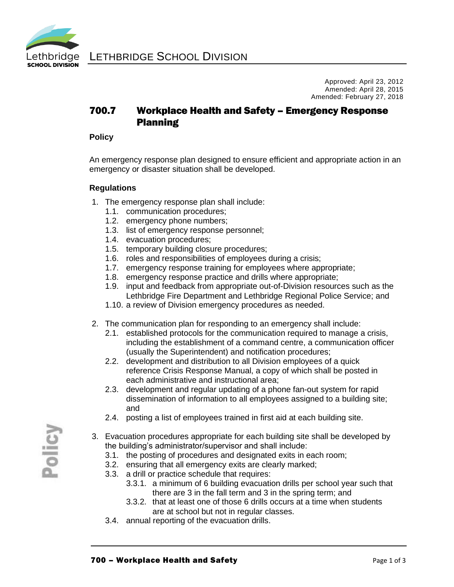

Approved: April 23, 2012 Amended: April 28, 2015 Amended: February 27, 2018

# 700.7 Workplace Health and Safety – Emergency Response Planning

#### **Policy**

An emergency response plan designed to ensure efficient and appropriate action in an emergency or disaster situation shall be developed.

### **Regulations**

- 1. The emergency response plan shall include:
	- 1.1. communication procedures;
	- 1.2. emergency phone numbers;
	- 1.3. list of emergency response personnel;
	- 1.4. evacuation procedures;
	- 1.5. temporary building closure procedures;
	- 1.6. roles and responsibilities of employees during a crisis;
	- 1.7. emergency response training for employees where appropriate;
	- 1.8. emergency response practice and drills where appropriate;
	- 1.9. input and feedback from appropriate out-of-Division resources such as the Lethbridge Fire Department and Lethbridge Regional Police Service; and
	- 1.10. a review of Division emergency procedures as needed.
- 2. The communication plan for responding to an emergency shall include:
	- 2.1. established protocols for the communication required to manage a crisis, including the establishment of a command centre, a communication officer (usually the Superintendent) and notification procedures;
	- 2.2. development and distribution to all Division employees of a quick reference Crisis Response Manual, a copy of which shall be posted in each administrative and instructional area;
	- 2.3. development and regular updating of a phone fan-out system for rapid dissemination of information to all employees assigned to a building site; and
	- 2.4. posting a list of employees trained in first aid at each building site.
- 3. Evacuation procedures appropriate for each building site shall be developed by the building's administrator/supervisor and shall include:
	- 3.1. the posting of procedures and designated exits in each room;
	- 3.2. ensuring that all emergency exits are clearly marked;
	- 3.3. a drill or practice schedule that requires:
		- 3.3.1. a minimum of 6 building evacuation drills per school year such that there are 3 in the fall term and 3 in the spring term; and
		- 3.3.2. that at least one of those 6 drills occurs at a time when students are at school but not in regular classes.
	- 3.4. annual reporting of the evacuation drills.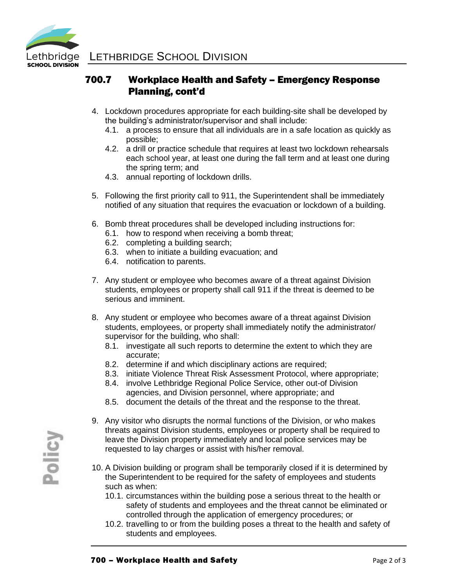

# 700.7 Workplace Health and Safety – Emergency Response Planning, cont'd

- 4. Lockdown procedures appropriate for each building-site shall be developed by the building's administrator/supervisor and shall include:
	- 4.1. a process to ensure that all individuals are in a safe location as quickly as possible;
	- 4.2. a drill or practice schedule that requires at least two lockdown rehearsals each school year, at least one during the fall term and at least one during the spring term; and
	- 4.3. annual reporting of lockdown drills.
- 5. Following the first priority call to 911, the Superintendent shall be immediately notified of any situation that requires the evacuation or lockdown of a building.
- 6. Bomb threat procedures shall be developed including instructions for:
	- 6.1. how to respond when receiving a bomb threat;
	- 6.2. completing a building search;
	- 6.3. when to initiate a building evacuation; and
	- 6.4. notification to parents.
- 7. Any student or employee who becomes aware of a threat against Division students, employees or property shall call 911 if the threat is deemed to be serious and imminent.
- 8. Any student or employee who becomes aware of a threat against Division students, employees, or property shall immediately notify the administrator/ supervisor for the building, who shall:
	- 8.1. investigate all such reports to determine the extent to which they are accurate;
	- 8.2. determine if and which disciplinary actions are required;
	- 8.3. initiate Violence Threat Risk Assessment Protocol, where appropriate;
	- 8.4. involve Lethbridge Regional Police Service, other out-of Division agencies, and Division personnel, where appropriate; and
	- 8.5. document the details of the threat and the response to the threat.
- 9. Any visitor who disrupts the normal functions of the Division, or who makes threats against Division students, employees or property shall be required to leave the Division property immediately and local police services may be requested to lay charges or assist with his/her removal.
- 10. A Division building or program shall be temporarily closed if it is determined by the Superintendent to be required for the safety of employees and students such as when:
	- 10.1. circumstances within the building pose a serious threat to the health or safety of students and employees and the threat cannot be eliminated or controlled through the application of emergency procedures; or
	- 10.2. travelling to or from the building poses a threat to the health and safety of students and employees.